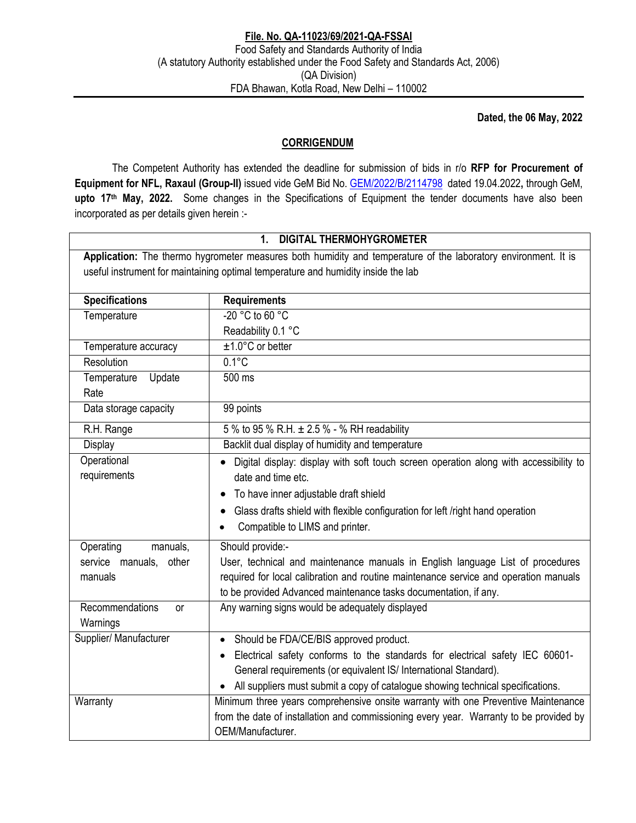**Dated, the 06 May, 2022** 

## **CORRIGENDUM**

 The Competent Authority has extended the deadline for submission of bids in r/o **RFP for Procurement of Equipment for NFL, Raxaul (Group-II)** issued vide GeM Bid No. GEM/2022/B/2114798 dated 19.04.2022**,** through GeM, **upto 17th May, 2022.** Some changes in the Specifications of Equipment the tender documents have also been incorporated as per details given herein :-

### **1. DIGITAL THERMOHYGROMETER**

**Application:** The thermo hygrometer measures both humidity and temperature of the laboratory environment. It is useful instrument for maintaining optimal temperature and humidity inside the lab

| <b>Specifications</b>     | <b>Requirements</b>                                                                    |
|---------------------------|----------------------------------------------------------------------------------------|
| Temperature               | $-20$ °C to 60 °C                                                                      |
|                           | Readability 0.1 °C                                                                     |
| Temperature accuracy      | $±1.0^{\circ}$ C or better                                                             |
| Resolution                | $0.1^{\circ}$ C                                                                        |
| Temperature<br>Update     | 500 ms                                                                                 |
| Rate                      |                                                                                        |
| Data storage capacity     | 99 points                                                                              |
| R.H. Range                | 5 % to 95 % R.H. ± 2.5 % - % RH readability                                            |
| Display                   | Backlit dual display of humidity and temperature                                       |
| Operational               | Digital display: display with soft touch screen operation along with accessibility to  |
| requirements              | date and time etc.                                                                     |
|                           | To have inner adjustable draft shield                                                  |
|                           | Glass drafts shield with flexible configuration for left /right hand operation         |
|                           | Compatible to LIMS and printer.                                                        |
| manuals.<br>Operating     | Should provide:-                                                                       |
| service manuals,<br>other | User, technical and maintenance manuals in English language List of procedures         |
| manuals                   | required for local calibration and routine maintenance service and operation manuals   |
|                           | to be provided Advanced maintenance tasks documentation, if any.                       |
| Recommendations<br>or     | Any warning signs would be adequately displayed                                        |
| Warnings                  |                                                                                        |
| Supplier/ Manufacturer    | Should be FDA/CE/BIS approved product.                                                 |
|                           | Electrical safety conforms to the standards for electrical safety IEC 60601-           |
|                           | General requirements (or equivalent IS/ International Standard).                       |
|                           | All suppliers must submit a copy of catalogue showing technical specifications.        |
| Warranty                  | Minimum three years comprehensive onsite warranty with one Preventive Maintenance      |
|                           | from the date of installation and commissioning every year. Warranty to be provided by |
|                           | OEM/Manufacturer.                                                                      |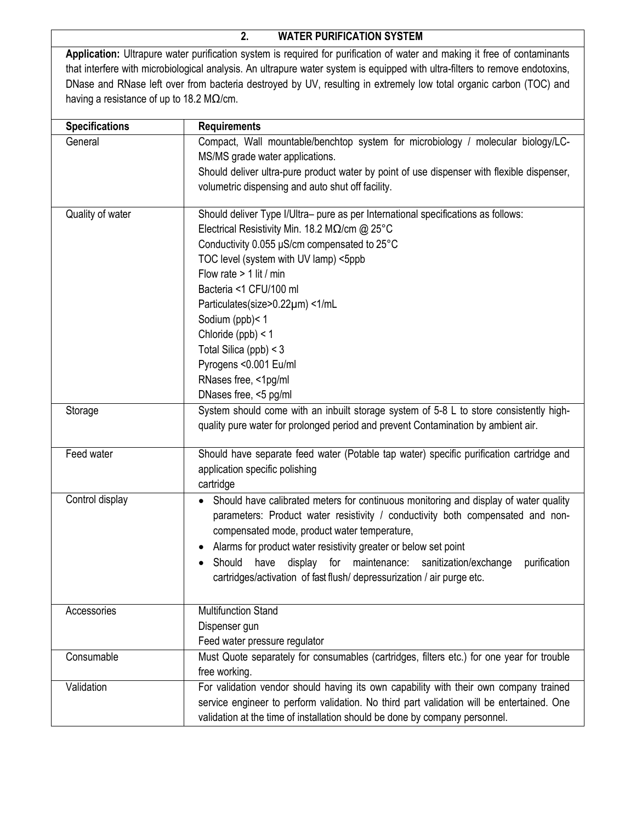## **2. WATER PURIFICATION SYSTEM**

**Application:** Ultrapure water purification system is required for purification of water and making it free of contaminants that interfere with microbiological analysis. An ultrapure water system is equipped with ultra-filters to remove endotoxins, DNase and RNase left over from bacteria destroyed by UV, resulting in extremely low total organic carbon (TOC) and having a resistance of up to 18.2 M $\Omega$ /cm.

| <b>Specifications</b> | <b>Requirements</b>                                                                               |
|-----------------------|---------------------------------------------------------------------------------------------------|
| General               | Compact, Wall mountable/benchtop system for microbiology / molecular biology/LC-                  |
|                       | MS/MS grade water applications.                                                                   |
|                       | Should deliver ultra-pure product water by point of use dispenser with flexible dispenser,        |
|                       | volumetric dispensing and auto shut off facility.                                                 |
|                       |                                                                                                   |
| Quality of water      | Should deliver Type I/Ultra- pure as per International specifications as follows:                 |
|                       | Electrical Resistivity Min. 18.2 M $\Omega$ /cm @ 25°C                                            |
|                       | Conductivity 0.055 µS/cm compensated to 25°C                                                      |
|                       | TOC level (system with UV lamp) <5ppb                                                             |
|                       | Flow rate $> 1$ lit / min                                                                         |
|                       | Bacteria <1 CFU/100 ml                                                                            |
|                       | Particulates(size>0.22µm) <1/mL                                                                   |
|                       | Sodium (ppb)<1                                                                                    |
|                       | Chloride (ppb) < 1                                                                                |
|                       | Total Silica (ppb) < 3                                                                            |
|                       | Pyrogens < 0.001 Eu/ml                                                                            |
|                       | RNases free, <1pg/ml                                                                              |
|                       | DNases free, <5 pg/ml                                                                             |
| Storage               | System should come with an inbuilt storage system of 5-8 L to store consistently high-            |
|                       | quality pure water for prolonged period and prevent Contamination by ambient air.                 |
|                       |                                                                                                   |
| Feed water            | Should have separate feed water (Potable tap water) specific purification cartridge and           |
|                       | application specific polishing                                                                    |
|                       | cartridge                                                                                         |
| Control display       | Should have calibrated meters for continuous monitoring and display of water quality<br>$\bullet$ |
|                       | parameters: Product water resistivity / conductivity both compensated and non-                    |
|                       | compensated mode, product water temperature,                                                      |
|                       | Alarms for product water resistivity greater or below set point                                   |
|                       | have<br>display<br>for maintenance:<br>sanitization/exchange<br>purification<br>Should            |
|                       | cartridges/activation of fast flush/ depressurization / air purge etc.                            |
|                       |                                                                                                   |
| Accessories           | <b>Multifunction Stand</b>                                                                        |
|                       | Dispenser gun                                                                                     |
|                       | Feed water pressure regulator                                                                     |
| Consumable            | Must Quote separately for consumables (cartridges, filters etc.) for one year for trouble         |
|                       | free working.                                                                                     |
| Validation            | For validation vendor should having its own capability with their own company trained             |
|                       |                                                                                                   |
|                       | service engineer to perform validation. No third part validation will be entertained. One         |
|                       | validation at the time of installation should be done by company personnel.                       |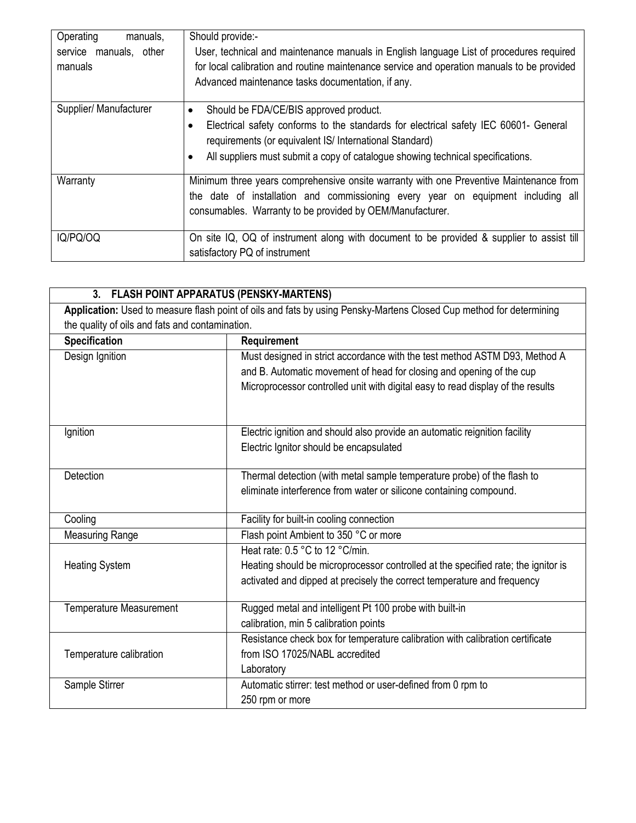| Operating<br>manuals,<br>service manuals, other<br>manuals | Should provide:-<br>User, technical and maintenance manuals in English language List of procedures required<br>for local calibration and routine maintenance service and operation manuals to be provided<br>Advanced maintenance tasks documentation, if any.                            |
|------------------------------------------------------------|-------------------------------------------------------------------------------------------------------------------------------------------------------------------------------------------------------------------------------------------------------------------------------------------|
| Supplier/ Manufacturer                                     | Should be FDA/CE/BIS approved product.<br>Electrical safety conforms to the standards for electrical safety IEC 60601- General<br>$\bullet$<br>requirements (or equivalent IS/ International Standard)<br>All suppliers must submit a copy of catalogue showing technical specifications. |
| Warranty                                                   | Minimum three years comprehensive onsite warranty with one Preventive Maintenance from<br>the date of installation and commissioning every year on equipment including all<br>consumables. Warranty to be provided by OEM/Manufacturer.                                                   |
| IQ/PQ/OQ                                                   | On site IQ, OQ of instrument along with document to be provided & supplier to assist till<br>satisfactory PQ of instrument                                                                                                                                                                |

| <b>FLASH POINT APPARATUS (PENSKY-MARTENS)</b><br>3. |                                                                                                                     |
|-----------------------------------------------------|---------------------------------------------------------------------------------------------------------------------|
|                                                     | Application: Used to measure flash point of oils and fats by using Pensky-Martens Closed Cup method for determining |
| the quality of oils and fats and contamination.     |                                                                                                                     |
| <b>Specification</b>                                | Requirement                                                                                                         |
| Design Ignition                                     | Must designed in strict accordance with the test method ASTM D93, Method A                                          |
|                                                     | and B. Automatic movement of head for closing and opening of the cup                                                |
|                                                     | Microprocessor controlled unit with digital easy to read display of the results                                     |
|                                                     |                                                                                                                     |
|                                                     |                                                                                                                     |
| Ignition                                            | Electric ignition and should also provide an automatic reignition facility                                          |
|                                                     | Electric Ignitor should be encapsulated                                                                             |
|                                                     |                                                                                                                     |
| <b>Detection</b>                                    | Thermal detection (with metal sample temperature probe) of the flash to                                             |
|                                                     | eliminate interference from water or silicone containing compound.                                                  |
| Cooling                                             | Facility for built-in cooling connection                                                                            |
|                                                     |                                                                                                                     |
| <b>Measuring Range</b>                              | Flash point Ambient to 350 °C or more                                                                               |
|                                                     | Heat rate: 0.5 °C to 12 °C/min.                                                                                     |
| <b>Heating System</b>                               | Heating should be microprocessor controlled at the specified rate; the ignitor is                                   |
|                                                     | activated and dipped at precisely the correct temperature and frequency                                             |
| <b>Temperature Measurement</b>                      | Rugged metal and intelligent Pt 100 probe with built-in                                                             |
|                                                     | calibration, min 5 calibration points                                                                               |
|                                                     | Resistance check box for temperature calibration with calibration certificate                                       |
| Temperature calibration                             | from ISO 17025/NABL accredited                                                                                      |
|                                                     | Laboratory                                                                                                          |
|                                                     |                                                                                                                     |
| Sample Stirrer                                      | Automatic stirrer: test method or user-defined from 0 rpm to                                                        |
|                                                     | 250 rpm or more                                                                                                     |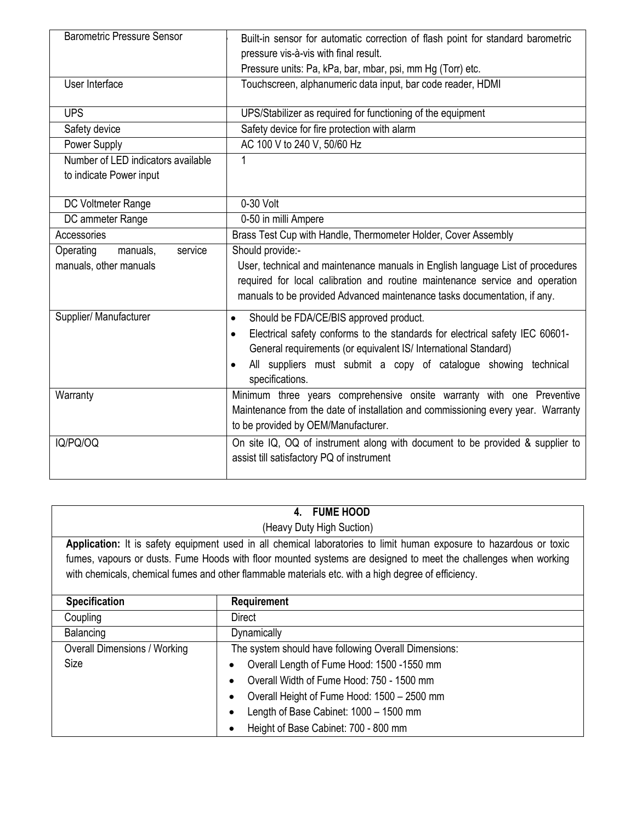| <b>Barometric Pressure Sensor</b>                             | Built-in sensor for automatic correction of flash point for standard barometric<br>pressure vis-à-vis with final result.<br>Pressure units: Pa, kPa, bar, mbar, psi, mm Hg (Torr) etc.                                                                                                                                 |
|---------------------------------------------------------------|------------------------------------------------------------------------------------------------------------------------------------------------------------------------------------------------------------------------------------------------------------------------------------------------------------------------|
| User Interface                                                | Touchscreen, alphanumeric data input, bar code reader, HDMI                                                                                                                                                                                                                                                            |
| <b>UPS</b>                                                    | UPS/Stabilizer as required for functioning of the equipment                                                                                                                                                                                                                                                            |
| Safety device                                                 | Safety device for fire protection with alarm                                                                                                                                                                                                                                                                           |
| Power Supply                                                  | AC 100 V to 240 V, 50/60 Hz                                                                                                                                                                                                                                                                                            |
| Number of LED indicators available<br>to indicate Power input |                                                                                                                                                                                                                                                                                                                        |
| DC Voltmeter Range                                            | 0-30 Volt                                                                                                                                                                                                                                                                                                              |
| DC ammeter Range                                              | 0-50 in milli Ampere                                                                                                                                                                                                                                                                                                   |
| Accessories                                                   | Brass Test Cup with Handle, Thermometer Holder, Cover Assembly                                                                                                                                                                                                                                                         |
| Operating<br>manuals,<br>service<br>manuals, other manuals    | Should provide:-<br>User, technical and maintenance manuals in English language List of procedures<br>required for local calibration and routine maintenance service and operation<br>manuals to be provided Advanced maintenance tasks documentation, if any.                                                         |
| Supplier/ Manufacturer                                        | Should be FDA/CE/BIS approved product.<br>$\bullet$<br>Electrical safety conforms to the standards for electrical safety IEC 60601-<br>$\bullet$<br>General requirements (or equivalent IS/ International Standard)<br>All suppliers must submit a copy of catalogue showing technical<br>$\bullet$<br>specifications. |
| Warranty                                                      | Minimum three years comprehensive onsite warranty with one Preventive<br>Maintenance from the date of installation and commissioning every year. Warranty<br>to be provided by OEM/Manufacturer.                                                                                                                       |
| IQ/PQ/OQ                                                      | On site IQ, OQ of instrument along with document to be provided & supplier to<br>assist till satisfactory PQ of instrument                                                                                                                                                                                             |

|                                     | <b>FUME HOOD</b><br>4.                                                                                              |
|-------------------------------------|---------------------------------------------------------------------------------------------------------------------|
|                                     | (Heavy Duty High Suction)                                                                                           |
|                                     | Application: It is safety equipment used in all chemical laboratories to limit human exposure to hazardous or toxic |
|                                     | fumes, vapours or dusts. Fume Hoods with floor mounted systems are designed to meet the challenges when working     |
|                                     | with chemicals, chemical fumes and other flammable materials etc. with a high degree of efficiency.                 |
|                                     |                                                                                                                     |
| <b>Specification</b>                | Requirement                                                                                                         |
| Coupling                            | Direct                                                                                                              |
| Balancing                           | Dynamically                                                                                                         |
| <b>Overall Dimensions / Working</b> | The system should have following Overall Dimensions:                                                                |
| <b>Size</b>                         | Overall Length of Fume Hood: 1500 -1550 mm                                                                          |
|                                     | Overall Width of Fume Hood: 750 - 1500 mm                                                                           |
|                                     | Overall Height of Fume Hood: 1500 - 2500 mm<br>٠                                                                    |
|                                     | Length of Base Cabinet: 1000 - 1500 mm                                                                              |
|                                     | Height of Base Cabinet: 700 - 800 mm                                                                                |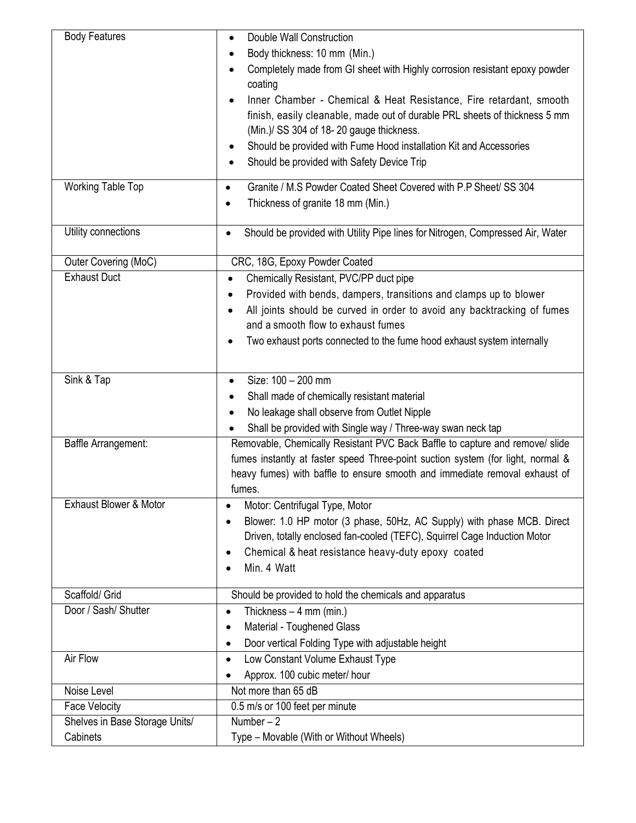| <b>Body Features</b>              | Double Wall Construction<br>$\bullet$                                                       |
|-----------------------------------|---------------------------------------------------------------------------------------------|
|                                   | Body thickness: 10 mm (Min.)                                                                |
|                                   | Completely made from GI sheet with Highly corrosion resistant epoxy powder<br>$\bullet$     |
|                                   | coating                                                                                     |
|                                   | Inner Chamber - Chemical & Heat Resistance, Fire retardant, smooth<br>$\bullet$             |
|                                   | finish, easily cleanable, made out of durable PRL sheets of thickness 5 mm                  |
|                                   | (Min.)/ SS 304 of 18-20 gauge thickness.                                                    |
|                                   | Should be provided with Fume Hood installation Kit and Accessories<br>٠                     |
|                                   | Should be provided with Safety Device Trip<br>$\bullet$                                     |
|                                   |                                                                                             |
| <b>Working Table Top</b>          | Granite / M.S Powder Coated Sheet Covered with P.P Sheet/ SS 304<br>$\bullet$               |
|                                   | Thickness of granite 18 mm (Min.)                                                           |
|                                   |                                                                                             |
| Utility connections               | Should be provided with Utility Pipe lines for Nitrogen, Compressed Air, Water<br>$\bullet$ |
| Outer Covering (MoC)              | CRC, 18G, Epoxy Powder Coated                                                               |
| <b>Exhaust Duct</b>               | Chemically Resistant, PVC/PP duct pipe<br>$\bullet$                                         |
|                                   | Provided with bends, dampers, transitions and clamps up to blower<br>$\bullet$              |
|                                   | All joints should be curved in order to avoid any backtracking of fumes                     |
|                                   | and a smooth flow to exhaust fumes                                                          |
|                                   | Two exhaust ports connected to the fume hood exhaust system internally<br>$\bullet$         |
|                                   |                                                                                             |
| Sink & Tap                        | Size: 100 - 200 mm<br>$\bullet$                                                             |
|                                   | Shall made of chemically resistant material                                                 |
|                                   | No leakage shall observe from Outlet Nipple<br>$\bullet$                                    |
|                                   | Shall be provided with Single way / Three-way swan neck tap                                 |
| Baffle Arrangement:               | Removable, Chemically Resistant PVC Back Baffle to capture and remove/ slide                |
|                                   | fumes instantly at faster speed Three-point suction system (for light, normal &             |
|                                   | heavy fumes) with baffle to ensure smooth and immediate removal exhaust of                  |
|                                   | fumes.                                                                                      |
| <b>Exhaust Blower &amp; Motor</b> | Motor: Centrifugal Type, Motor<br>$\bullet$                                                 |
|                                   | Blower: 1.0 HP motor (3 phase, 50Hz, AC Supply) with phase MCB. Direct                      |
|                                   | Driven, totally enclosed fan-cooled (TEFC), Squirrel Cage Induction Motor                   |
|                                   | Chemical & heat resistance heavy-duty epoxy coated                                          |
|                                   | Min. 4 Watt                                                                                 |
|                                   |                                                                                             |
| Scaffold/ Grid                    | Should be provided to hold the chemicals and apparatus                                      |
| Door / Sash/ Shutter              | Thickness $-4$ mm (min.)<br>$\bullet$                                                       |
|                                   | Material - Toughened Glass                                                                  |
|                                   | Door vertical Folding Type with adjustable height                                           |
| Air Flow                          | Low Constant Volume Exhaust Type<br>٠                                                       |
|                                   | Approx. 100 cubic meter/ hour                                                               |
| Noise Level                       | Not more than 65 dB                                                                         |
| Face Velocity                     | 0.5 m/s or 100 feet per minute                                                              |
| Shelves in Base Storage Units/    | Number $-2$                                                                                 |
| Cabinets                          | Type - Movable (With or Without Wheels)                                                     |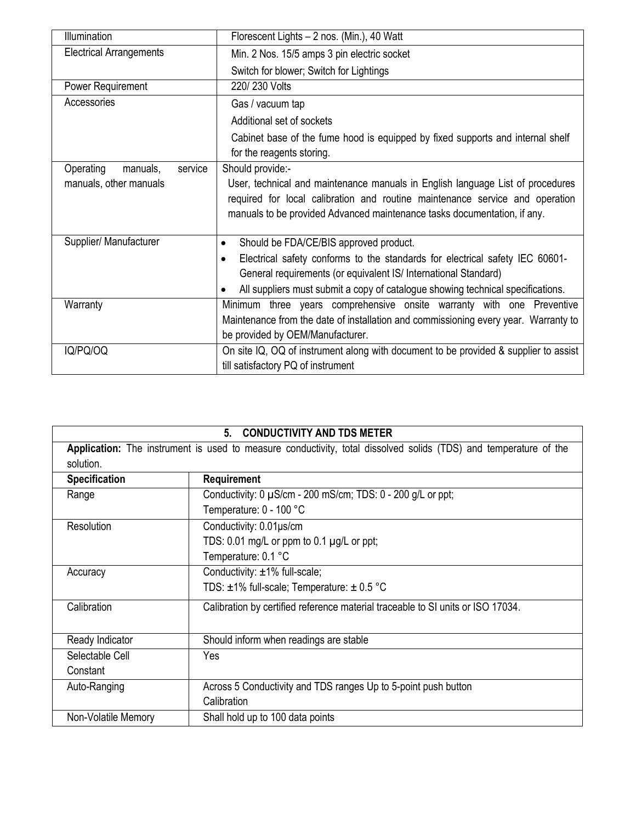| <b>Illumination</b>              | Florescent Lights - 2 nos. (Min.), 40 Watt                                                                  |
|----------------------------------|-------------------------------------------------------------------------------------------------------------|
| <b>Electrical Arrangements</b>   | Min. 2 Nos. 15/5 amps 3 pin electric socket                                                                 |
|                                  | Switch for blower; Switch for Lightings                                                                     |
| Power Requirement                | 220/230 Volts                                                                                               |
| Accessories                      | Gas / vacuum tap                                                                                            |
|                                  | Additional set of sockets                                                                                   |
|                                  | Cabinet base of the fume hood is equipped by fixed supports and internal shelf<br>for the reagents storing. |
| Operating<br>manuals,<br>service | Should provide:-                                                                                            |
| manuals, other manuals           | User, technical and maintenance manuals in English language List of procedures                              |
|                                  | required for local calibration and routine maintenance service and operation                                |
|                                  | manuals to be provided Advanced maintenance tasks documentation, if any.                                    |
| Supplier/ Manufacturer           | Should be FDA/CE/BIS approved product.<br>$\bullet$                                                         |
|                                  | Electrical safety conforms to the standards for electrical safety IEC 60601-<br>$\bullet$                   |
|                                  | General requirements (or equivalent IS/ International Standard)                                             |
|                                  | All suppliers must submit a copy of catalogue showing technical specifications.                             |
| Warranty                         | Minimum three years comprehensive onsite warranty with one Preventive                                       |
|                                  | Maintenance from the date of installation and commissioning every year. Warranty to                         |
|                                  | be provided by OEM/Manufacturer.                                                                            |
| IQ/PQ/OQ                         | On site IQ, OQ of instrument along with document to be provided & supplier to assist                        |
|                                  | till satisfactory PQ of instrument                                                                          |

| <b>CONDUCTIVITY AND TDS METER</b><br>5. |
|-----------------------------------------|
|-----------------------------------------|

**Application:** The instrument is used to measure conductivity, total dissolved solids (TDS) and temperature of the solution.

| <b>Specification</b> | Requirement                                                                     |
|----------------------|---------------------------------------------------------------------------------|
| Range                | Conductivity: 0 µS/cm - 200 mS/cm; TDS: 0 - 200 g/L or ppt;                     |
|                      | Temperature: 0 - 100 °C                                                         |
| Resolution           | Conductivity: 0.01µs/cm                                                         |
|                      | TDS: 0.01 mg/L or ppm to 0.1 $\mu$ g/L or ppt;                                  |
|                      | Temperature: 0.1 °C                                                             |
| Accuracy             | Conductivity: ±1% full-scale;                                                   |
|                      | TDS: $\pm$ 1% full-scale; Temperature: $\pm$ 0.5 °C                             |
| Calibration          | Calibration by certified reference material traceable to SI units or ISO 17034. |
| Ready Indicator      | Should inform when readings are stable                                          |
| Selectable Cell      | Yes                                                                             |
| Constant             |                                                                                 |
| Auto-Ranging         | Across 5 Conductivity and TDS ranges Up to 5-point push button                  |
|                      | Calibration                                                                     |
| Non-Volatile Memory  | Shall hold up to 100 data points                                                |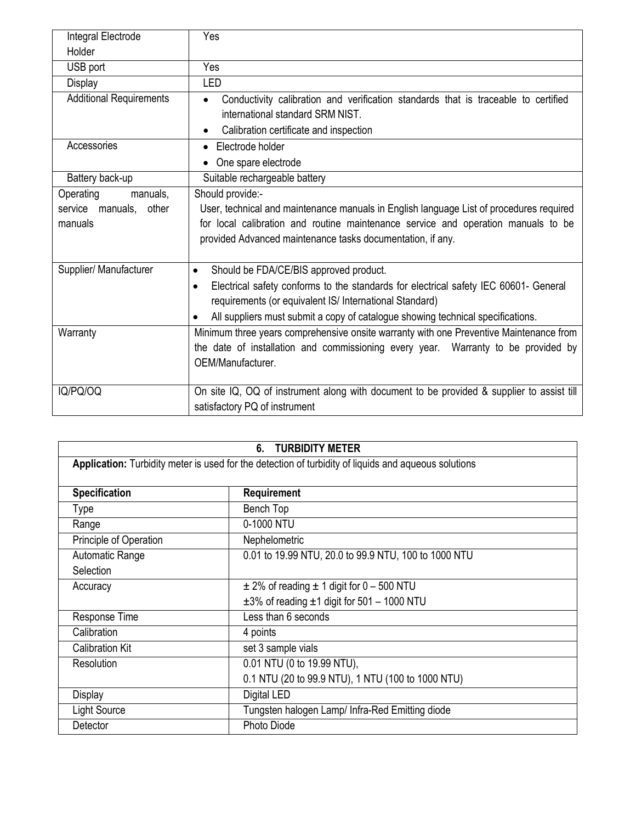| Integral Electrode             | Yes                                                                                               |
|--------------------------------|---------------------------------------------------------------------------------------------------|
| Holder                         |                                                                                                   |
| USB port                       | Yes                                                                                               |
| Display                        | LED                                                                                               |
| <b>Additional Requirements</b> | Conductivity calibration and verification standards that is traceable to certified<br>$\bullet$   |
|                                | international standard SRM NIST.                                                                  |
|                                | Calibration certificate and inspection                                                            |
| Accessories                    | Electrode holder<br>$\bullet$                                                                     |
|                                | One spare electrode                                                                               |
| Battery back-up                | Suitable rechargeable battery                                                                     |
| Operating<br>manuals,          | Should provide:-                                                                                  |
| service manuals, other         | User, technical and maintenance manuals in English language List of procedures required           |
| manuals                        | for local calibration and routine maintenance service and operation manuals to be                 |
|                                | provided Advanced maintenance tasks documentation, if any.                                        |
|                                |                                                                                                   |
| Supplier/ Manufacturer         | Should be FDA/CE/BIS approved product.<br>$\bullet$                                               |
|                                | Electrical safety conforms to the standards for electrical safety IEC 60601- General<br>$\bullet$ |
|                                | requirements (or equivalent IS/ International Standard)                                           |
|                                | All suppliers must submit a copy of catalogue showing technical specifications.<br>$\bullet$      |
| Warranty                       | Minimum three years comprehensive onsite warranty with one Preventive Maintenance from            |
|                                | the date of installation and commissioning every year. Warranty to be provided by                 |
|                                | OEM/Manufacturer.                                                                                 |
|                                |                                                                                                   |
| IQ/PQ/OQ                       | On site IQ, OQ of instrument along with document to be provided & supplier to assist till         |
|                                | satisfactory PQ of instrument                                                                     |

| <b>TURBIDITY METER</b><br>6. |                                                                                                      |  |
|------------------------------|------------------------------------------------------------------------------------------------------|--|
|                              | Application: Turbidity meter is used for the detection of turbidity of liquids and aqueous solutions |  |
| <b>Specification</b>         | Requirement                                                                                          |  |
| <b>Type</b>                  | Bench Top                                                                                            |  |
| Range                        | 0-1000 NTU                                                                                           |  |
| Principle of Operation       | Nephelometric                                                                                        |  |
| Automatic Range              | 0.01 to 19.99 NTU, 20.0 to 99.9 NTU, 100 to 1000 NTU                                                 |  |
| Selection                    |                                                                                                      |  |
| Accuracy                     | $\pm$ 2% of reading $\pm$ 1 digit for 0 – 500 NTU                                                    |  |
|                              | $\pm 3\%$ of reading $\pm 1$ digit for 501 - 1000 NTU                                                |  |
| Response Time                | Less than 6 seconds                                                                                  |  |
| Calibration                  | 4 points                                                                                             |  |
| <b>Calibration Kit</b>       | set 3 sample vials                                                                                   |  |
| Resolution                   | 0.01 NTU (0 to 19.99 NTU),                                                                           |  |
|                              | 0.1 NTU (20 to 99.9 NTU), 1 NTU (100 to 1000 NTU)                                                    |  |
| Display                      | Digital LED                                                                                          |  |
| Light Source                 | Tungsten halogen Lamp/ Infra-Red Emitting diode                                                      |  |
| Detector                     | <b>Photo Diode</b>                                                                                   |  |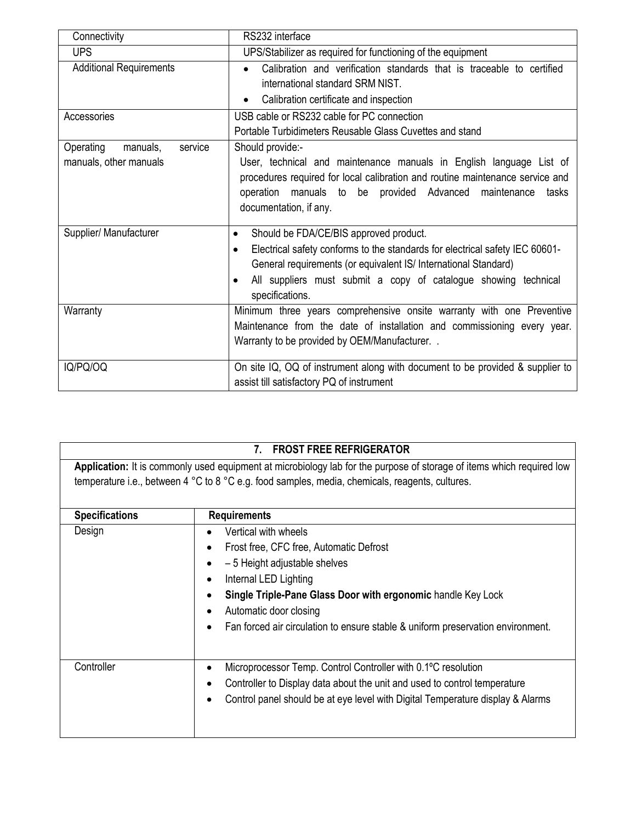| Connectivity                                               | RS232 interface                                                                                                                                                                                                                                                                                                        |
|------------------------------------------------------------|------------------------------------------------------------------------------------------------------------------------------------------------------------------------------------------------------------------------------------------------------------------------------------------------------------------------|
| <b>UPS</b>                                                 | UPS/Stabilizer as required for functioning of the equipment                                                                                                                                                                                                                                                            |
| <b>Additional Requirements</b>                             | Calibration and verification standards that is traceable to certified<br>$\bullet$                                                                                                                                                                                                                                     |
|                                                            | international standard SRM NIST.                                                                                                                                                                                                                                                                                       |
|                                                            | Calibration certificate and inspection<br>$\bullet$                                                                                                                                                                                                                                                                    |
| Accessories                                                | USB cable or RS232 cable for PC connection                                                                                                                                                                                                                                                                             |
|                                                            | Portable Turbidimeters Reusable Glass Cuvettes and stand                                                                                                                                                                                                                                                               |
| Operating<br>manuals,<br>service<br>manuals, other manuals | Should provide:-<br>User, technical and maintenance manuals in English language List of<br>procedures required for local calibration and routine maintenance service and<br>operation manuals to be provided Advanced maintenance<br>tasks<br>documentation, if any.                                                   |
| Supplier/ Manufacturer                                     | Should be FDA/CE/BIS approved product.<br>$\bullet$<br>Electrical safety conforms to the standards for electrical safety IEC 60601-<br>$\bullet$<br>General requirements (or equivalent IS/ International Standard)<br>All suppliers must submit a copy of catalogue showing technical<br>$\bullet$<br>specifications. |
| Warranty                                                   | Minimum three years comprehensive onsite warranty with one Preventive<br>Maintenance from the date of installation and commissioning every year.<br>Warranty to be provided by OEM/Manufacturer. .                                                                                                                     |
| IQ/PQ/OQ                                                   | On site IQ, OQ of instrument along with document to be provided & supplier to<br>assist till satisfactory PQ of instrument                                                                                                                                                                                             |

|                       | <b>FROST FREE REFRIGERATOR</b><br>7.                                                                                                                                                                                     |
|-----------------------|--------------------------------------------------------------------------------------------------------------------------------------------------------------------------------------------------------------------------|
|                       | Application: It is commonly used equipment at microbiology lab for the purpose of storage of items which required low<br>temperature i.e., between 4 °C to 8 °C e.g. food samples, media, chemicals, reagents, cultures. |
| <b>Specifications</b> | <b>Requirements</b>                                                                                                                                                                                                      |
| Design                | Vertical with wheels                                                                                                                                                                                                     |
|                       | Frost free, CFC free, Automatic Defrost<br>$\bullet$                                                                                                                                                                     |
|                       | - 5 Height adjustable shelves<br>$\bullet$                                                                                                                                                                               |
|                       | Internal LED Lighting<br>$\bullet$                                                                                                                                                                                       |
|                       | Single Triple-Pane Glass Door with ergonomic handle Key Lock<br>$\bullet$                                                                                                                                                |
|                       | Automatic door closing                                                                                                                                                                                                   |
|                       | Fan forced air circulation to ensure stable & uniform preservation environment.                                                                                                                                          |
|                       |                                                                                                                                                                                                                          |
| Controller            | Microprocessor Temp. Control Controller with 0.1°C resolution                                                                                                                                                            |
|                       | Controller to Display data about the unit and used to control temperature                                                                                                                                                |
|                       | Control panel should be at eye level with Digital Temperature display & Alarms                                                                                                                                           |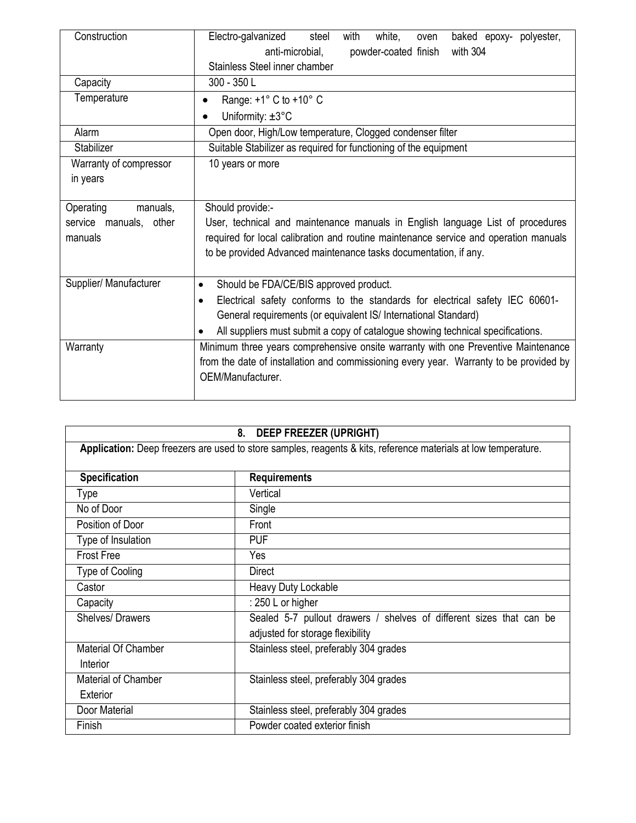| Construction           | Electro-galvanized<br>steel<br>with<br>white,<br>baked epoxy- polyester,<br>oven<br>anti-microbial,<br>powder-coated finish<br>with 304 |
|------------------------|-----------------------------------------------------------------------------------------------------------------------------------------|
|                        | Stainless Steel inner chamber                                                                                                           |
| Capacity               | 300 - 350 L                                                                                                                             |
| Temperature            | Range: $+1^{\circ}$ C to $+10^{\circ}$ C                                                                                                |
|                        | Uniformity: $\pm 3^{\circ}$ C                                                                                                           |
| Alarm                  | Open door, High/Low temperature, Clogged condenser filter                                                                               |
| Stabilizer             | Suitable Stabilizer as required for functioning of the equipment                                                                        |
| Warranty of compressor | 10 years or more                                                                                                                        |
| in years               |                                                                                                                                         |
|                        |                                                                                                                                         |
| Operating<br>manuals,  | Should provide:-                                                                                                                        |
| service manuals, other | User, technical and maintenance manuals in English language List of procedures                                                          |
| manuals                | required for local calibration and routine maintenance service and operation manuals                                                    |
|                        | to be provided Advanced maintenance tasks documentation, if any.                                                                        |
|                        |                                                                                                                                         |
| Supplier/ Manufacturer | Should be FDA/CE/BIS approved product.<br>$\bullet$                                                                                     |
|                        | Electrical safety conforms to the standards for electrical safety IEC 60601-<br>$\bullet$                                               |
|                        | General requirements (or equivalent IS/ International Standard)                                                                         |
|                        | All suppliers must submit a copy of catalogue showing technical specifications.<br>$\bullet$                                            |
| Warranty               | Minimum three years comprehensive onsite warranty with one Preventive Maintenance                                                       |
|                        | from the date of installation and commissioning every year. Warranty to be provided by                                                  |
|                        | OEM/Manufacturer.                                                                                                                       |
|                        |                                                                                                                                         |

| <b>DEEP FREEZER (UPRIGHT)</b><br>8.                                                                            |                                                                     |  |
|----------------------------------------------------------------------------------------------------------------|---------------------------------------------------------------------|--|
| Application: Deep freezers are used to store samples, reagents & kits, reference materials at low temperature. |                                                                     |  |
|                                                                                                                |                                                                     |  |
| <b>Specification</b>                                                                                           | <b>Requirements</b>                                                 |  |
| Type                                                                                                           | Vertical                                                            |  |
| No of Door                                                                                                     | Single                                                              |  |
| Position of Door                                                                                               | Front                                                               |  |
| Type of Insulation                                                                                             | <b>PUF</b>                                                          |  |
| <b>Frost Free</b>                                                                                              | Yes                                                                 |  |
| Type of Cooling                                                                                                | <b>Direct</b>                                                       |  |
| Castor                                                                                                         | Heavy Duty Lockable                                                 |  |
| Capacity                                                                                                       | : 250 L or higher                                                   |  |
| <b>Shelves/ Drawers</b>                                                                                        | Sealed 5-7 pullout drawers / shelves of different sizes that can be |  |
|                                                                                                                | adjusted for storage flexibility                                    |  |
| Material Of Chamber                                                                                            | Stainless steel, preferably 304 grades                              |  |
| Interior                                                                                                       |                                                                     |  |
| <b>Material of Chamber</b>                                                                                     | Stainless steel, preferably 304 grades                              |  |
| Exterior                                                                                                       |                                                                     |  |
| Door Material                                                                                                  | Stainless steel, preferably 304 grades                              |  |
| Finish                                                                                                         | Powder coated exterior finish                                       |  |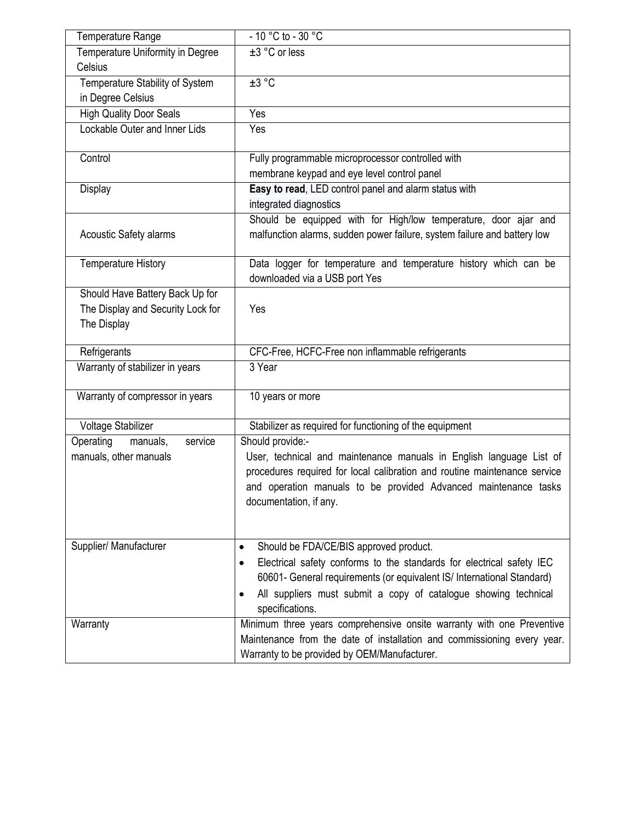| Temperature Range                 | $-10$ °C to - 30 °C                                                                                                                                                                                                                                |
|-----------------------------------|----------------------------------------------------------------------------------------------------------------------------------------------------------------------------------------------------------------------------------------------------|
| Temperature Uniformity in Degree  | $\pm 3$ °C or less                                                                                                                                                                                                                                 |
| Celsius                           |                                                                                                                                                                                                                                                    |
| Temperature Stability of System   | ±3 °C                                                                                                                                                                                                                                              |
| in Degree Celsius                 |                                                                                                                                                                                                                                                    |
| <b>High Quality Door Seals</b>    | Yes                                                                                                                                                                                                                                                |
| Lockable Outer and Inner Lids     | Yes                                                                                                                                                                                                                                                |
| Control                           | Fully programmable microprocessor controlled with                                                                                                                                                                                                  |
|                                   | membrane keypad and eye level control panel                                                                                                                                                                                                        |
| Display                           | Easy to read, LED control panel and alarm status with                                                                                                                                                                                              |
|                                   | integrated diagnostics                                                                                                                                                                                                                             |
| <b>Acoustic Safety alarms</b>     | Should be equipped with for High/low temperature, door ajar and<br>malfunction alarms, sudden power failure, system failure and battery low                                                                                                        |
| <b>Temperature History</b>        | Data logger for temperature and temperature history which can be<br>downloaded via a USB port Yes                                                                                                                                                  |
| Should Have Battery Back Up for   |                                                                                                                                                                                                                                                    |
| The Display and Security Lock for | Yes                                                                                                                                                                                                                                                |
| The Display                       |                                                                                                                                                                                                                                                    |
| Refrigerants                      | CFC-Free, HCFC-Free non inflammable refrigerants                                                                                                                                                                                                   |
| Warranty of stabilizer in years   | 3 Year                                                                                                                                                                                                                                             |
| Warranty of compressor in years   | 10 years or more                                                                                                                                                                                                                                   |
| Voltage Stabilizer                | Stabilizer as required for functioning of the equipment                                                                                                                                                                                            |
| Operating<br>manuals,<br>service  | Should provide:-                                                                                                                                                                                                                                   |
| manuals, other manuals            | User, technical and maintenance manuals in English language List of<br>procedures required for local calibration and routine maintenance service<br>and operation manuals to be provided Advanced maintenance tasks<br>documentation, if any.      |
| Supplier/ Manufacturer            | Should be FDA/CE/BIS approved product.<br>$\bullet$                                                                                                                                                                                                |
|                                   | Electrical safety conforms to the standards for electrical safety IEC<br>60601- General requirements (or equivalent IS/ International Standard)<br>All suppliers must submit a copy of catalogue showing technical<br>$\bullet$<br>specifications. |
| Warranty                          | Minimum three years comprehensive onsite warranty with one Preventive                                                                                                                                                                              |
|                                   | Maintenance from the date of installation and commissioning every year.<br>Warranty to be provided by OEM/Manufacturer.                                                                                                                            |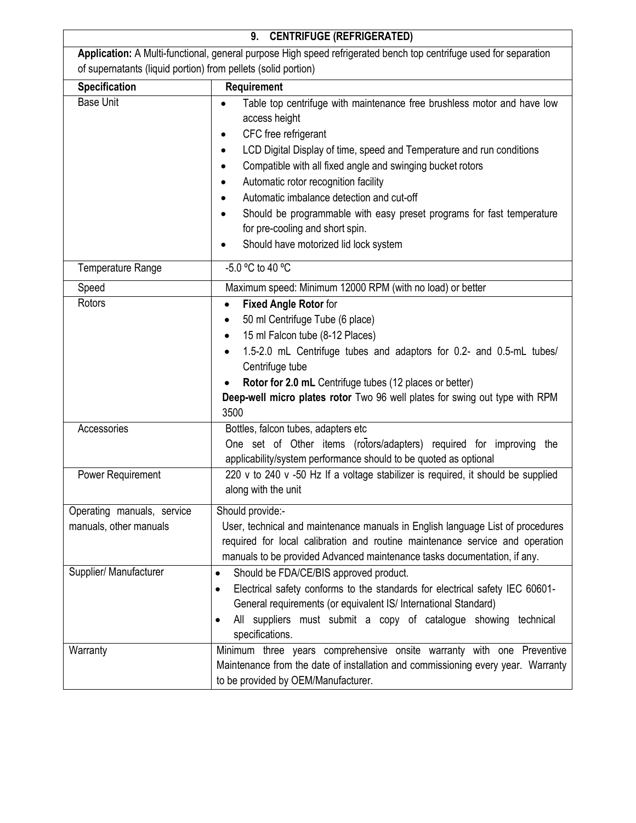| <b>CENTRIFUGE (REFRIGERATED)</b><br>9.                                                                            |                                                                                                                                                                                                                                                                                                                                                                                                                                                                                                                     |  |
|-------------------------------------------------------------------------------------------------------------------|---------------------------------------------------------------------------------------------------------------------------------------------------------------------------------------------------------------------------------------------------------------------------------------------------------------------------------------------------------------------------------------------------------------------------------------------------------------------------------------------------------------------|--|
| Application: A Multi-functional, general purpose High speed refrigerated bench top centrifuge used for separation |                                                                                                                                                                                                                                                                                                                                                                                                                                                                                                                     |  |
| of supernatants (liquid portion) from pellets (solid portion)                                                     |                                                                                                                                                                                                                                                                                                                                                                                                                                                                                                                     |  |
| <b>Specification</b>                                                                                              | Requirement                                                                                                                                                                                                                                                                                                                                                                                                                                                                                                         |  |
| <b>Base Unit</b>                                                                                                  | Table top centrifuge with maintenance free brushless motor and have low<br>$\bullet$<br>access height<br>CFC free refrigerant<br>LCD Digital Display of time, speed and Temperature and run conditions<br>Compatible with all fixed angle and swinging bucket rotors<br>Automatic rotor recognition facility<br>٠<br>Automatic imbalance detection and cut-off<br>Should be programmable with easy preset programs for fast temperature<br>for pre-cooling and short spin.<br>Should have motorized lid lock system |  |
| Temperature Range                                                                                                 | $-5.0$ °C to 40 °C                                                                                                                                                                                                                                                                                                                                                                                                                                                                                                  |  |
| Speed                                                                                                             | Maximum speed: Minimum 12000 RPM (with no load) or better                                                                                                                                                                                                                                                                                                                                                                                                                                                           |  |
| Rotors                                                                                                            | <b>Fixed Angle Rotor for</b><br>$\bullet$<br>50 ml Centrifuge Tube (6 place)<br>$\bullet$<br>15 ml Falcon tube (8-12 Places)<br>$\bullet$<br>1.5-2.0 mL Centrifuge tubes and adaptors for 0.2- and 0.5-mL tubes/<br>Centrifuge tube<br>Rotor for 2.0 mL Centrifuge tubes (12 places or better)<br>Deep-well micro plates rotor Two 96 well plates for swing out type with RPM<br>3500                                                                                                                               |  |
| Accessories<br>Power Requirement                                                                                  | Bottles, falcon tubes, adapters etc<br>One set of Other items (rotors/adapters) required for improving the<br>applicability/system performance should to be quoted as optional<br>220 v to 240 v -50 Hz If a voltage stabilizer is required, it should be supplied                                                                                                                                                                                                                                                  |  |
| Operating manuals, service<br>manuals, other manuals                                                              | along with the unit<br>Should provide:-<br>User, technical and maintenance manuals in English language List of procedures<br>required for local calibration and routine maintenance service and operation                                                                                                                                                                                                                                                                                                           |  |
| Supplier/ Manufacturer                                                                                            | manuals to be provided Advanced maintenance tasks documentation, if any.<br>Should be FDA/CE/BIS approved product.<br>$\bullet$<br>Electrical safety conforms to the standards for electrical safety IEC 60601-<br>٠<br>General requirements (or equivalent IS/ International Standard)<br>All suppliers must submit a copy of catalogue showing technical<br>specifications.                                                                                                                                       |  |
| Warranty                                                                                                          | Minimum three years comprehensive onsite warranty with one Preventive<br>Maintenance from the date of installation and commissioning every year. Warranty<br>to be provided by OEM/Manufacturer.                                                                                                                                                                                                                                                                                                                    |  |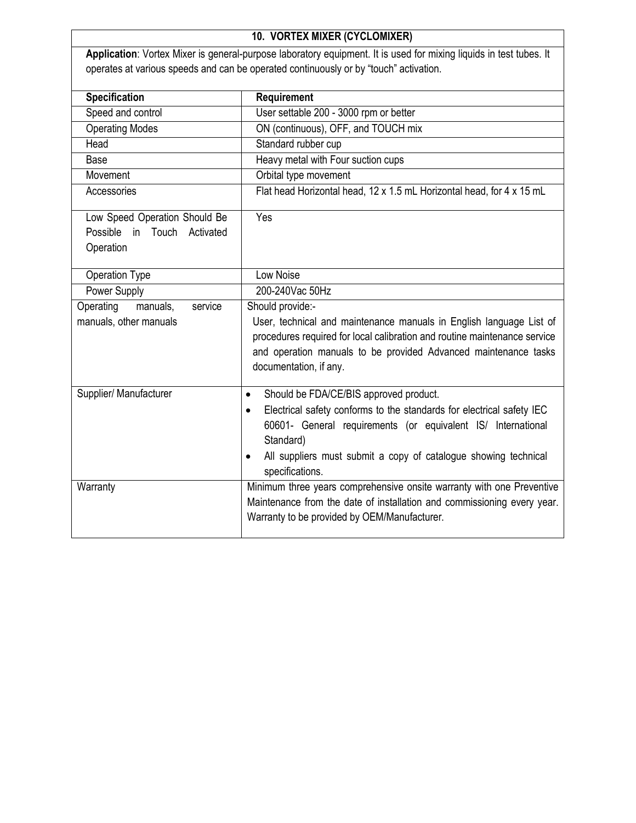| 10. VORTEX MIXER (CYCLOMIXER)                                                      |                                                                                                                                                                                                                                                                                                                                                                                                                                                                                                                               |
|------------------------------------------------------------------------------------|-------------------------------------------------------------------------------------------------------------------------------------------------------------------------------------------------------------------------------------------------------------------------------------------------------------------------------------------------------------------------------------------------------------------------------------------------------------------------------------------------------------------------------|
|                                                                                    | Application: Vortex Mixer is general-purpose laboratory equipment. It is used for mixing liquids in test tubes. It                                                                                                                                                                                                                                                                                                                                                                                                            |
|                                                                                    | operates at various speeds and can be operated continuously or by "touch" activation.                                                                                                                                                                                                                                                                                                                                                                                                                                         |
|                                                                                    |                                                                                                                                                                                                                                                                                                                                                                                                                                                                                                                               |
| <b>Specification</b>                                                               | Requirement                                                                                                                                                                                                                                                                                                                                                                                                                                                                                                                   |
| Speed and control                                                                  | User settable 200 - 3000 rpm or better                                                                                                                                                                                                                                                                                                                                                                                                                                                                                        |
| <b>Operating Modes</b>                                                             | ON (continuous), OFF, and TOUCH mix                                                                                                                                                                                                                                                                                                                                                                                                                                                                                           |
| Head                                                                               | Standard rubber cup                                                                                                                                                                                                                                                                                                                                                                                                                                                                                                           |
| Base                                                                               | Heavy metal with Four suction cups                                                                                                                                                                                                                                                                                                                                                                                                                                                                                            |
| Movement                                                                           | Orbital type movement                                                                                                                                                                                                                                                                                                                                                                                                                                                                                                         |
| Accessories                                                                        | Flat head Horizontal head, 12 x 1.5 mL Horizontal head, for 4 x 15 mL                                                                                                                                                                                                                                                                                                                                                                                                                                                         |
| Low Speed Operation Should Be<br>Possible<br>in<br>Touch<br>Activated<br>Operation | Yes                                                                                                                                                                                                                                                                                                                                                                                                                                                                                                                           |
| Operation Type                                                                     | Low Noise                                                                                                                                                                                                                                                                                                                                                                                                                                                                                                                     |
| <b>Power Supply</b>                                                                | 200-240Vac 50Hz                                                                                                                                                                                                                                                                                                                                                                                                                                                                                                               |
| Operating<br>manuals,<br>service<br>manuals, other manuals                         | Should provide:-<br>User, technical and maintenance manuals in English language List of<br>procedures required for local calibration and routine maintenance service<br>and operation manuals to be provided Advanced maintenance tasks<br>documentation, if any.                                                                                                                                                                                                                                                             |
| Supplier/ Manufacturer<br>Warranty                                                 | Should be FDA/CE/BIS approved product.<br>$\bullet$<br>Electrical safety conforms to the standards for electrical safety IEC<br>$\bullet$<br>60601- General requirements (or equivalent IS/ International<br>Standard)<br>All suppliers must submit a copy of catalogue showing technical<br>$\bullet$<br>specifications.<br>Minimum three years comprehensive onsite warranty with one Preventive<br>Maintenance from the date of installation and commissioning every year.<br>Warranty to be provided by OEM/Manufacturer. |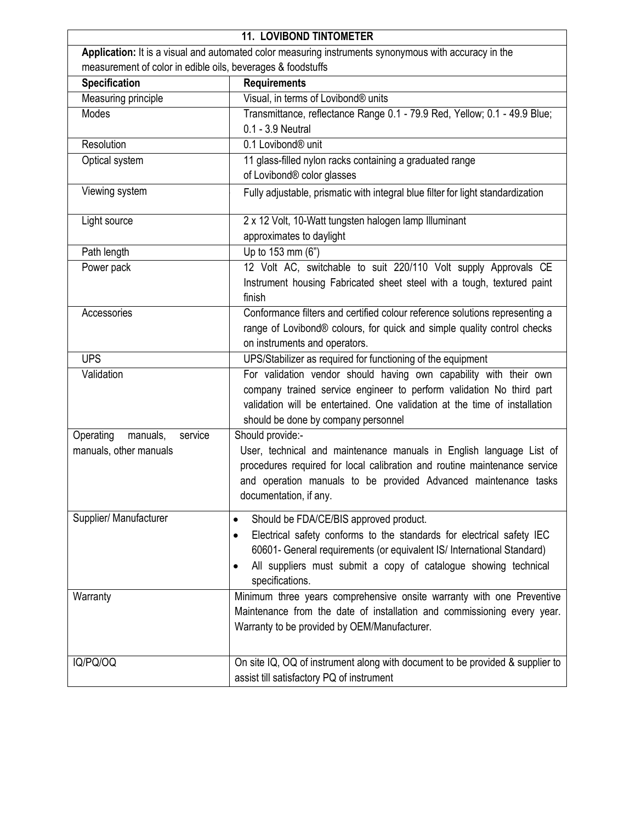| <b>11. LOVIBOND TINTOMETER</b>                                                                        |                                                                                                                                                                                                                                                                                                                        |  |
|-------------------------------------------------------------------------------------------------------|------------------------------------------------------------------------------------------------------------------------------------------------------------------------------------------------------------------------------------------------------------------------------------------------------------------------|--|
| Application: It is a visual and automated color measuring instruments synonymous with accuracy in the |                                                                                                                                                                                                                                                                                                                        |  |
| measurement of color in edible oils, beverages & foodstuffs                                           |                                                                                                                                                                                                                                                                                                                        |  |
| <b>Specification</b>                                                                                  | <b>Requirements</b>                                                                                                                                                                                                                                                                                                    |  |
| Measuring principle                                                                                   | Visual, in terms of Lovibond® units                                                                                                                                                                                                                                                                                    |  |
| Modes                                                                                                 | Transmittance, reflectance Range 0.1 - 79.9 Red, Yellow; 0.1 - 49.9 Blue;<br>0.1 - 3.9 Neutral                                                                                                                                                                                                                         |  |
| Resolution                                                                                            | 0.1 Lovibond <sup>®</sup> unit                                                                                                                                                                                                                                                                                         |  |
| Optical system                                                                                        | 11 glass-filled nylon racks containing a graduated range<br>of Lovibond® color glasses                                                                                                                                                                                                                                 |  |
| Viewing system                                                                                        | Fully adjustable, prismatic with integral blue filter for light standardization                                                                                                                                                                                                                                        |  |
| Light source                                                                                          | 2 x 12 Volt, 10-Watt tungsten halogen lamp Illuminant<br>approximates to daylight                                                                                                                                                                                                                                      |  |
| Path length                                                                                           | Up to 153 mm (6")                                                                                                                                                                                                                                                                                                      |  |
| Power pack                                                                                            | 12 Volt AC, switchable to suit 220/110 Volt supply Approvals CE<br>Instrument housing Fabricated sheet steel with a tough, textured paint<br>finish                                                                                                                                                                    |  |
| Accessories                                                                                           | Conformance filters and certified colour reference solutions representing a<br>range of Lovibond® colours, for quick and simple quality control checks<br>on instruments and operators.                                                                                                                                |  |
| <b>UPS</b>                                                                                            | UPS/Stabilizer as required for functioning of the equipment                                                                                                                                                                                                                                                            |  |
| Validation                                                                                            | For validation vendor should having own capability with their own<br>company trained service engineer to perform validation No third part<br>validation will be entertained. One validation at the time of installation<br>should be done by company personnel                                                         |  |
| Operating<br>manuals,<br>service                                                                      | Should provide:-                                                                                                                                                                                                                                                                                                       |  |
| manuals, other manuals                                                                                | User, technical and maintenance manuals in English language List of<br>procedures required for local calibration and routine maintenance service<br>and operation manuals to be provided Advanced maintenance tasks<br>documentation, if any.                                                                          |  |
| Supplier/ Manufacturer                                                                                | Should be FDA/CE/BIS approved product.<br>$\bullet$<br>Electrical safety conforms to the standards for electrical safety IEC<br>$\bullet$<br>60601- General requirements (or equivalent IS/ International Standard)<br>All suppliers must submit a copy of catalogue showing technical<br>$\bullet$<br>specifications. |  |
| Warranty                                                                                              | Minimum three years comprehensive onsite warranty with one Preventive<br>Maintenance from the date of installation and commissioning every year.<br>Warranty to be provided by OEM/Manufacturer.                                                                                                                       |  |
| IQ/PQ/OQ                                                                                              | On site IQ, OQ of instrument along with document to be provided & supplier to<br>assist till satisfactory PQ of instrument                                                                                                                                                                                             |  |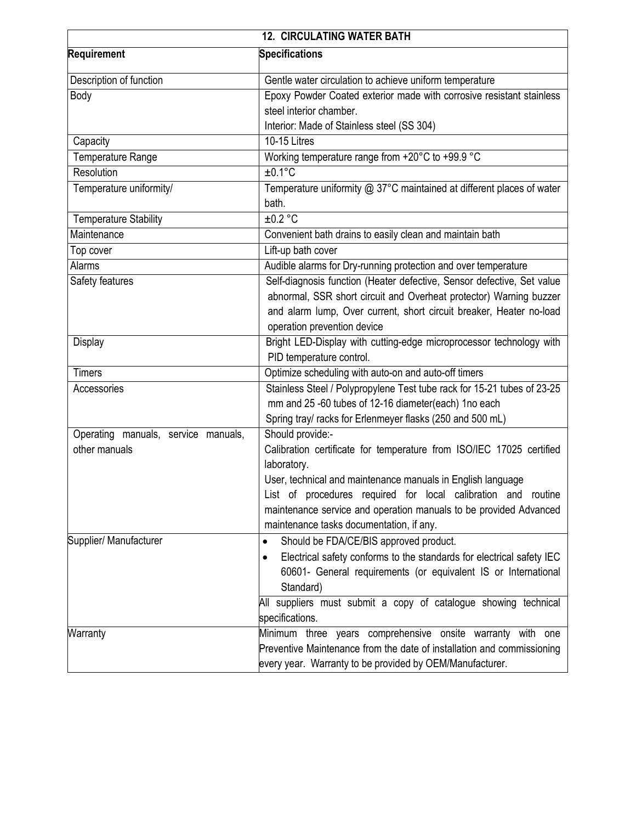| <b>12. CIRCULATING WATER BATH</b>   |                                                                                     |
|-------------------------------------|-------------------------------------------------------------------------------------|
| Requirement                         | <b>Specifications</b>                                                               |
| Description of function             | Gentle water circulation to achieve uniform temperature                             |
| Body                                | Epoxy Powder Coated exterior made with corrosive resistant stainless                |
|                                     | steel interior chamber.                                                             |
|                                     | Interior: Made of Stainless steel (SS 304)                                          |
| Capacity                            | 10-15 Litres                                                                        |
| Temperature Range                   | Working temperature range from +20°C to +99.9 °C                                    |
| Resolution                          | $±0.1$ °C                                                                           |
| Temperature uniformity/             | Temperature uniformity @ 37°C maintained at different places of water<br>bath.      |
| <b>Temperature Stability</b>        | ±0.2 °C                                                                             |
| Maintenance                         | Convenient bath drains to easily clean and maintain bath                            |
| Top cover                           | Lift-up bath cover                                                                  |
| Alarms                              | Audible alarms for Dry-running protection and over temperature                      |
| Safety features                     | Self-diagnosis function (Heater defective, Sensor defective, Set value              |
|                                     | abnormal, SSR short circuit and Overheat protector) Warning buzzer                  |
|                                     | and alarm lump, Over current, short circuit breaker, Heater no-load                 |
|                                     | operation prevention device                                                         |
| Display                             | Bright LED-Display with cutting-edge microprocessor technology with                 |
|                                     | PID temperature control.                                                            |
| <b>Timers</b>                       | Optimize scheduling with auto-on and auto-off timers                                |
| Accessories                         | Stainless Steel / Polypropylene Test tube rack for 15-21 tubes of 23-25             |
|                                     | mm and 25 -60 tubes of 12-16 diameter(each) 1no each                                |
|                                     | Spring tray/ racks for Erlenmeyer flasks (250 and 500 mL)                           |
| Operating manuals, service manuals, | Should provide:-                                                                    |
| other manuals                       | Calibration certificate for temperature from ISO/IEC 17025 certified<br>laboratory. |
|                                     | User, technical and maintenance manuals in English language                         |
|                                     | List of procedures required for local calibration and routine                       |
|                                     | maintenance service and operation manuals to be provided Advanced                   |
|                                     | maintenance tasks documentation, if any.                                            |
| Supplier/ Manufacturer              | Should be FDA/CE/BIS approved product.<br>$\bullet$                                 |
|                                     | Electrical safety conforms to the standards for electrical safety IEC<br>$\bullet$  |
|                                     | 60601- General requirements (or equivalent IS or International                      |
|                                     | Standard)                                                                           |
|                                     | All suppliers must submit a copy of catalogue showing technical                     |
|                                     | specifications.                                                                     |
| Warranty                            | Minimum three years comprehensive onsite warranty with one                          |
|                                     | Preventive Maintenance from the date of installation and commissioning              |
|                                     | every year. Warranty to be provided by OEM/Manufacturer.                            |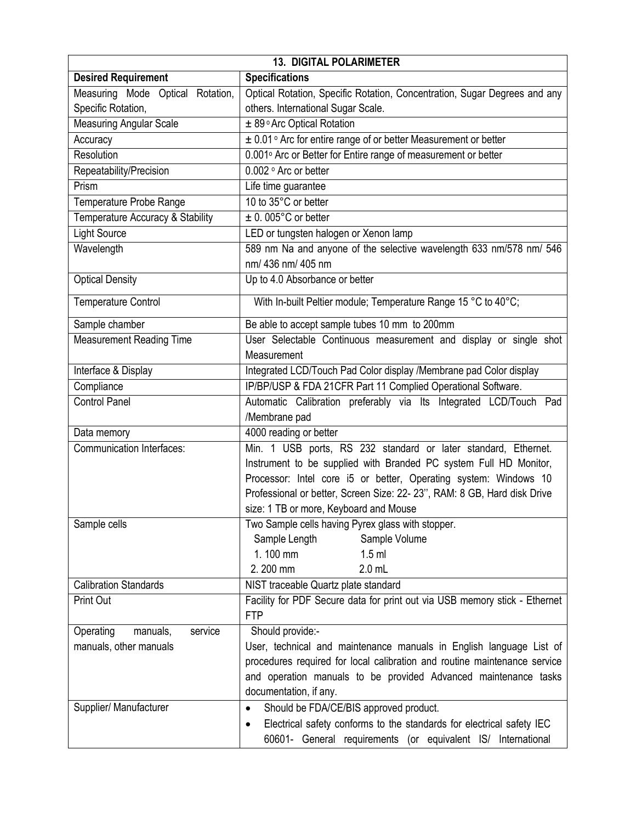| <b>13. DIGITAL POLARIMETER</b>   |                                                                                    |  |
|----------------------------------|------------------------------------------------------------------------------------|--|
| <b>Desired Requirement</b>       | <b>Specifications</b>                                                              |  |
| Measuring Mode Optical Rotation, | Optical Rotation, Specific Rotation, Concentration, Sugar Degrees and any          |  |
| Specific Rotation,               | others. International Sugar Scale.                                                 |  |
| <b>Measuring Angular Scale</b>   | ± 89° Arc Optical Rotation                                                         |  |
| Accuracy                         | ± 0.01° Arc for entire range of or better Measurement or better                    |  |
| Resolution                       | 0.001° Arc or Better for Entire range of measurement or better                     |  |
| Repeatability/Precision          | 0.002 ° Arc or better                                                              |  |
| Prism                            | Life time guarantee                                                                |  |
| Temperature Probe Range          | 10 to 35°C or better                                                               |  |
| Temperature Accuracy & Stability | $\pm$ 0.005°C or better                                                            |  |
| <b>Light Source</b>              | LED or tungsten halogen or Xenon lamp                                              |  |
| Wavelength                       | 589 nm Na and anyone of the selective wavelength 633 nm/578 nm/ 546                |  |
|                                  | nm/ 436 nm/ 405 nm                                                                 |  |
| <b>Optical Density</b>           | Up to 4.0 Absorbance or better                                                     |  |
|                                  |                                                                                    |  |
| <b>Temperature Control</b>       | With In-built Peltier module; Temperature Range 15 °C to 40°C;                     |  |
| Sample chamber                   | Be able to accept sample tubes 10 mm to 200mm                                      |  |
| <b>Measurement Reading Time</b>  | User Selectable Continuous measurement and display or single shot                  |  |
|                                  | Measurement                                                                        |  |
| Interface & Display              | Integrated LCD/Touch Pad Color display /Membrane pad Color display                 |  |
| Compliance                       | IP/BP/USP & FDA 21CFR Part 11 Complied Operational Software.                       |  |
| <b>Control Panel</b>             | Automatic Calibration preferably via Its Integrated LCD/Touch Pad                  |  |
|                                  | /Membrane pad                                                                      |  |
| Data memory                      | 4000 reading or better                                                             |  |
| <b>Communication Interfaces:</b> | Min. 1 USB ports, RS 232 standard or later standard, Ethernet.                     |  |
|                                  | Instrument to be supplied with Branded PC system Full HD Monitor,                  |  |
|                                  | Processor: Intel core i5 or better, Operating system: Windows 10                   |  |
|                                  | Professional or better, Screen Size: 22- 23", RAM: 8 GB, Hard disk Drive           |  |
|                                  | size: 1 TB or more, Keyboard and Mouse                                             |  |
| Sample cells                     | Two Sample cells having Pyrex glass with stopper.                                  |  |
|                                  | Sample Length<br>Sample Volume                                                     |  |
|                                  | 1.100 mm<br>$1.5$ ml                                                               |  |
|                                  | 2.200 mm<br>$2.0$ mL                                                               |  |
| <b>Calibration Standards</b>     | NIST traceable Quartz plate standard                                               |  |
| Print Out                        | Facility for PDF Secure data for print out via USB memory stick - Ethernet         |  |
|                                  | <b>FTP</b>                                                                         |  |
| Operating<br>manuals,<br>service | Should provide:-                                                                   |  |
| manuals, other manuals           | User, technical and maintenance manuals in English language List of                |  |
|                                  | procedures required for local calibration and routine maintenance service          |  |
|                                  | and operation manuals to be provided Advanced maintenance tasks                    |  |
|                                  | documentation, if any.                                                             |  |
| Supplier/ Manufacturer           | Should be FDA/CE/BIS approved product.<br>$\bullet$                                |  |
|                                  | Electrical safety conforms to the standards for electrical safety IEC<br>$\bullet$ |  |
|                                  | 60601- General requirements (or equivalent IS/ International                       |  |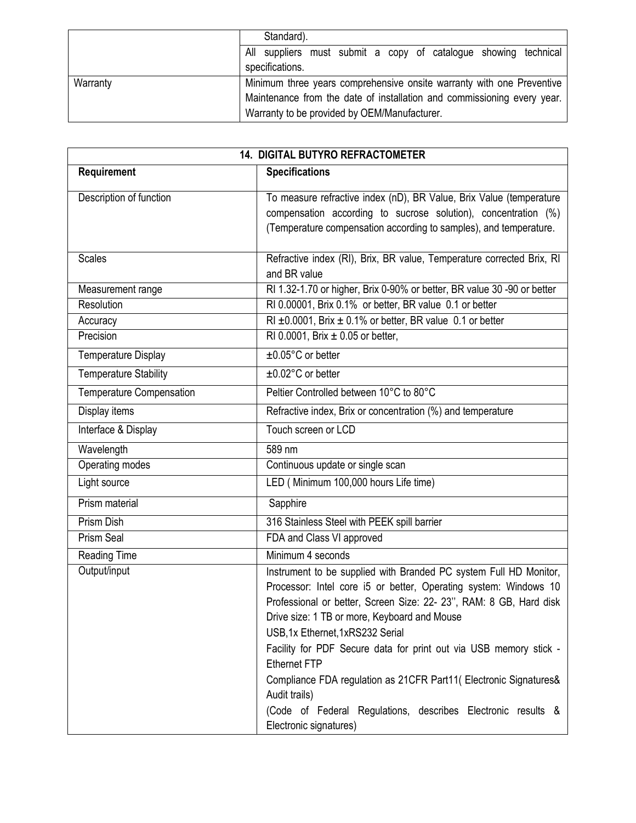|          | Standard).                                                              |
|----------|-------------------------------------------------------------------------|
|          | All suppliers must submit a copy of catalogue showing technical         |
|          | specifications.                                                         |
| Warranty | Minimum three years comprehensive onsite warranty with one Preventive   |
|          | Maintenance from the date of installation and commissioning every year. |
|          | Warranty to be provided by OEM/Manufacturer.                            |

| 14. DIGITAL BUTYRO REFRACTOMETER |                                                                                                                                                                                                                                                                                                                                                                                                                                                                                                                                                                           |
|----------------------------------|---------------------------------------------------------------------------------------------------------------------------------------------------------------------------------------------------------------------------------------------------------------------------------------------------------------------------------------------------------------------------------------------------------------------------------------------------------------------------------------------------------------------------------------------------------------------------|
| Requirement                      | <b>Specifications</b>                                                                                                                                                                                                                                                                                                                                                                                                                                                                                                                                                     |
| Description of function          | To measure refractive index (nD), BR Value, Brix Value (temperature<br>compensation according to sucrose solution), concentration (%)<br>(Temperature compensation according to samples), and temperature.                                                                                                                                                                                                                                                                                                                                                                |
| <b>Scales</b>                    | Refractive index (RI), Brix, BR value, Temperature corrected Brix, RI<br>and BR value                                                                                                                                                                                                                                                                                                                                                                                                                                                                                     |
| Measurement range                | RI 1.32-1.70 or higher, Brix 0-90% or better, BR value 30 -90 or better                                                                                                                                                                                                                                                                                                                                                                                                                                                                                                   |
| Resolution                       | RI 0.00001, Brix 0.1% or better, BR value 0.1 or better                                                                                                                                                                                                                                                                                                                                                                                                                                                                                                                   |
| Accuracy                         | RI $\pm$ 0.0001, Brix $\pm$ 0.1% or better, BR value 0.1 or better                                                                                                                                                                                                                                                                                                                                                                                                                                                                                                        |
| Precision                        | RI 0.0001, Brix $\pm$ 0.05 or better,                                                                                                                                                                                                                                                                                                                                                                                                                                                                                                                                     |
| <b>Temperature Display</b>       | $±0.05^{\circ}$ C or better                                                                                                                                                                                                                                                                                                                                                                                                                                                                                                                                               |
| <b>Temperature Stability</b>     | $\overline{\pm 0.02^{\circ}C}$ or better                                                                                                                                                                                                                                                                                                                                                                                                                                                                                                                                  |
| Temperature Compensation         | Peltier Controlled between 10°C to 80°C                                                                                                                                                                                                                                                                                                                                                                                                                                                                                                                                   |
| Display items                    | Refractive index, Brix or concentration (%) and temperature                                                                                                                                                                                                                                                                                                                                                                                                                                                                                                               |
| Interface & Display              | Touch screen or LCD                                                                                                                                                                                                                                                                                                                                                                                                                                                                                                                                                       |
| Wavelength                       | 589 nm                                                                                                                                                                                                                                                                                                                                                                                                                                                                                                                                                                    |
| Operating modes                  | Continuous update or single scan                                                                                                                                                                                                                                                                                                                                                                                                                                                                                                                                          |
| Light source                     | LED (Minimum 100,000 hours Life time)                                                                                                                                                                                                                                                                                                                                                                                                                                                                                                                                     |
| Prism material                   | Sapphire                                                                                                                                                                                                                                                                                                                                                                                                                                                                                                                                                                  |
| Prism Dish                       | 316 Stainless Steel with PEEK spill barrier                                                                                                                                                                                                                                                                                                                                                                                                                                                                                                                               |
| Prism Seal                       | FDA and Class VI approved                                                                                                                                                                                                                                                                                                                                                                                                                                                                                                                                                 |
| Reading Time                     | Minimum 4 seconds                                                                                                                                                                                                                                                                                                                                                                                                                                                                                                                                                         |
| Output/input                     | Instrument to be supplied with Branded PC system Full HD Monitor,<br>Processor: Intel core i5 or better, Operating system: Windows 10<br>Professional or better, Screen Size: 22- 23", RAM: 8 GB, Hard disk<br>Drive size: 1 TB or more, Keyboard and Mouse<br>USB,1x Ethernet,1xRS232 Serial<br>Facility for PDF Secure data for print out via USB memory stick -<br><b>Ethernet FTP</b><br>Compliance FDA regulation as 21CFR Part11( Electronic Signatures&<br>Audit trails)<br>(Code of Federal Regulations, describes Electronic results &<br>Electronic signatures) |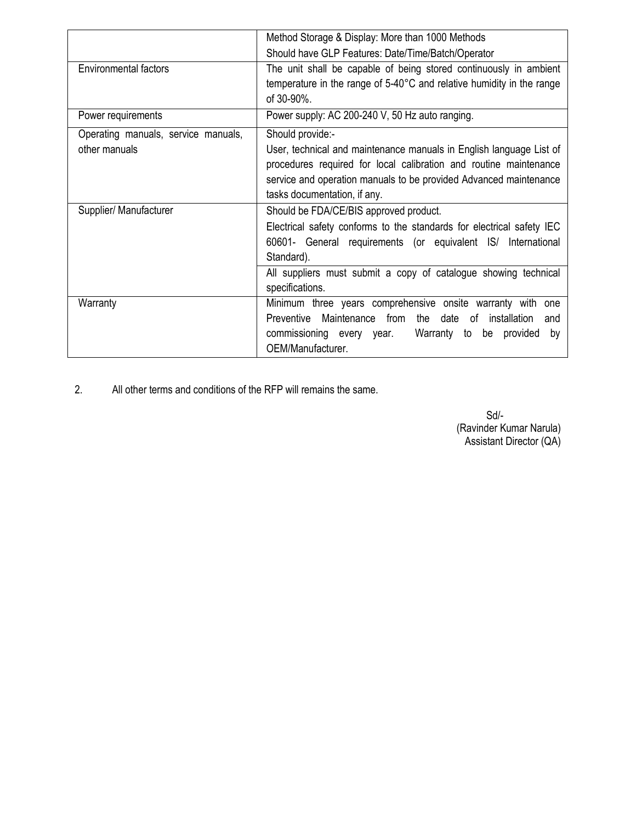|                                                      | Method Storage & Display: More than 1000 Methods                                                                                                                                                                                                                                    |  |  |
|------------------------------------------------------|-------------------------------------------------------------------------------------------------------------------------------------------------------------------------------------------------------------------------------------------------------------------------------------|--|--|
|                                                      | Should have GLP Features: Date/Time/Batch/Operator                                                                                                                                                                                                                                  |  |  |
| <b>Environmental factors</b>                         | The unit shall be capable of being stored continuously in ambient<br>temperature in the range of 5-40°C and relative humidity in the range<br>of 30-90%.                                                                                                                            |  |  |
| Power requirements                                   | Power supply: AC 200-240 V, 50 Hz auto ranging.                                                                                                                                                                                                                                     |  |  |
| Operating manuals, service manuals,<br>other manuals | Should provide:-<br>User, technical and maintenance manuals in English language List of<br>procedures required for local calibration and routine maintenance<br>service and operation manuals to be provided Advanced maintenance<br>tasks documentation, if any.                   |  |  |
| Supplier/ Manufacturer                               | Should be FDA/CE/BIS approved product.<br>Electrical safety conforms to the standards for electrical safety IEC<br>60601- General requirements (or equivalent IS/ International<br>Standard).<br>All suppliers must submit a copy of catalogue showing technical<br>specifications. |  |  |
| Warranty                                             | Minimum three years comprehensive onsite warranty with<br>one<br>Maintenance from the date of installation<br><b>Preventive</b><br>and<br>commissioning every year.<br>Warranty to be provided<br>by<br>OEM/Manufacturer.                                                           |  |  |

2. All other terms and conditions of the RFP will remains the same.

 Sd/- (Ravinder Kumar Narula) Assistant Director (QA)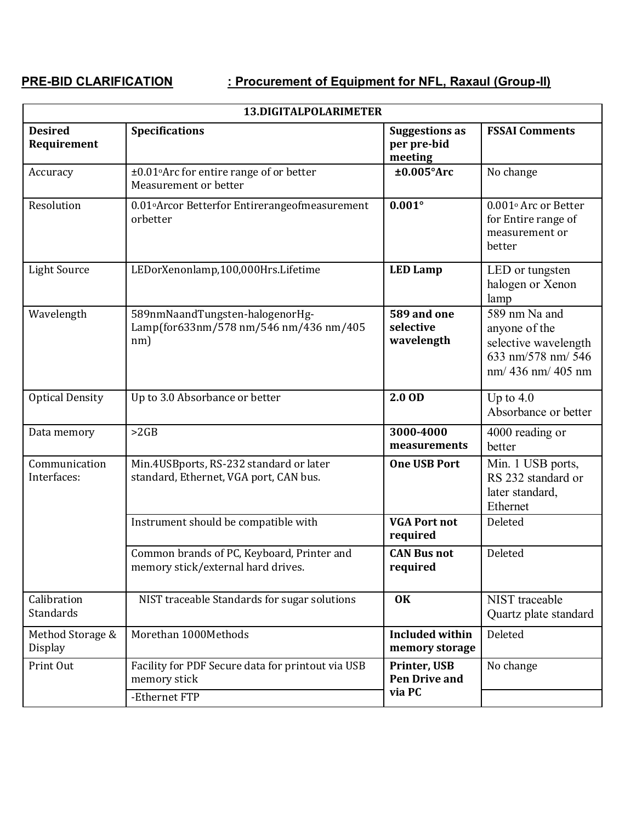# **PRE-BID CLARIFICATION : Procurement of Equipment for NFL, Raxaul (Group-II)**

| 13.DIGITALPOLARIMETER              |                                                                                   |                                                 |                                                                                                                 |  |  |
|------------------------------------|-----------------------------------------------------------------------------------|-------------------------------------------------|-----------------------------------------------------------------------------------------------------------------|--|--|
| <b>Desired</b><br>Requirement      | <b>Specifications</b>                                                             | <b>Suggestions as</b><br>per pre-bid<br>meeting | <b>FSSAI Comments</b>                                                                                           |  |  |
| Accuracy                           | $\pm 0.01$ °Arc for entire range of or better<br>Measurement or better            | $±0.005$ °Arc                                   | No change                                                                                                       |  |  |
| Resolution                         | 0.01° Arcor Betterfor Entirerangeofmeasurement<br>orbetter                        | $0.001^\circ$                                   | 0.001° Arc or Better<br>for Entire range of<br>measurement or<br>better                                         |  |  |
| <b>Light Source</b>                | LEDorXenonlamp,100,000Hrs.Lifetime                                                | <b>LED Lamp</b>                                 | LED or tungsten<br>halogen or Xenon<br>lamp                                                                     |  |  |
| Wavelength                         | 589nmNaandTungsten-halogenorHg-<br>Lamp(for633nm/578 nm/546 nm/436 nm/405<br>nm)  | 589 and one<br>selective<br>wavelength          | $\overline{589}$ nm Na and<br>anyone of the<br>selective wavelength<br>633 nm/578 nm/546<br>$nm/436$ nm/ 405 nm |  |  |
| <b>Optical Density</b>             | Up to 3.0 Absorbance or better                                                    | 2.0 OD                                          | Up to $4.0$<br>Absorbance or better                                                                             |  |  |
| Data memory                        | >2GB                                                                              | 3000-4000<br>measurements                       | 4000 reading or<br>better                                                                                       |  |  |
| Communication<br>Interfaces:       | Min.4USBports, RS-232 standard or later<br>standard, Ethernet, VGA port, CAN bus. | <b>One USB Port</b>                             | Min. 1 USB ports,<br>RS 232 standard or<br>later standard,<br>Ethernet                                          |  |  |
|                                    | Instrument should be compatible with                                              | <b>VGA Port not</b><br>required                 | Deleted                                                                                                         |  |  |
|                                    | Common brands of PC, Keyboard, Printer and<br>memory stick/external hard drives.  | <b>CAN Bus not</b><br>required                  | Deleted                                                                                                         |  |  |
| Calibration<br>Standards           | NIST traceable Standards for sugar solutions                                      | <b>OK</b>                                       | <b>NIST</b> traceable<br>Quartz plate standard                                                                  |  |  |
| Method Storage &<br><b>Display</b> | Morethan 1000Methods                                                              | <b>Included within</b><br>memory storage        | Deleted                                                                                                         |  |  |
| Print Out                          | Facility for PDF Secure data for printout via USB<br>memory stick                 | Printer, USB<br><b>Pen Drive and</b>            | No change                                                                                                       |  |  |
|                                    | -Ethernet FTP                                                                     | via PC                                          |                                                                                                                 |  |  |